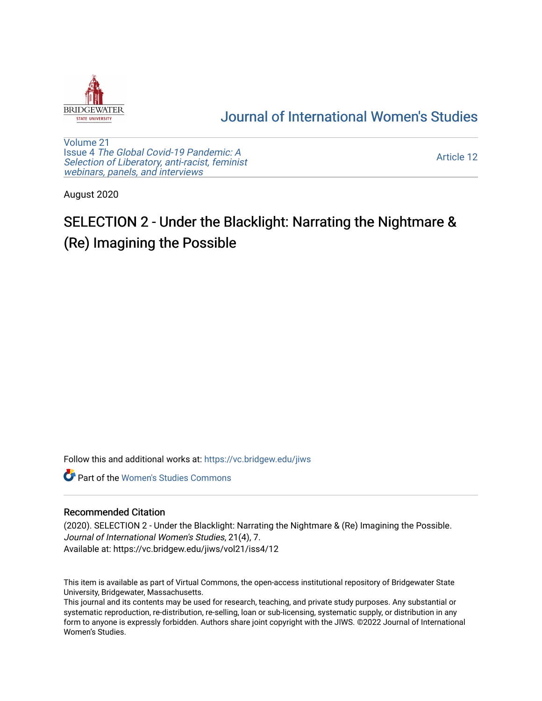

## [Journal of International Women's Studies](https://vc.bridgew.edu/jiws)

[Volume 21](https://vc.bridgew.edu/jiws/vol21) Issue 4 [The Global Covid-19 Pandemic: A](https://vc.bridgew.edu/jiws/vol21/iss4) [Selection of Liberatory, anti-racist, feminist](https://vc.bridgew.edu/jiws/vol21/iss4) [webinars, panels, and interviews](https://vc.bridgew.edu/jiws/vol21/iss4)

[Article 12](https://vc.bridgew.edu/jiws/vol21/iss4/12) 

August 2020

## SELECTION 2 - Under the Blacklight: Narrating the Nightmare & (Re) Imagining the Possible

Follow this and additional works at: [https://vc.bridgew.edu/jiws](https://vc.bridgew.edu/jiws?utm_source=vc.bridgew.edu%2Fjiws%2Fvol21%2Fiss4%2F12&utm_medium=PDF&utm_campaign=PDFCoverPages)

**C** Part of the Women's Studies Commons

## Recommended Citation

(2020). SELECTION 2 - Under the Blacklight: Narrating the Nightmare & (Re) Imagining the Possible. Journal of International Women's Studies, 21(4), 7. Available at: https://vc.bridgew.edu/jiws/vol21/iss4/12

This item is available as part of Virtual Commons, the open-access institutional repository of Bridgewater State University, Bridgewater, Massachusetts.

This journal and its contents may be used for research, teaching, and private study purposes. Any substantial or systematic reproduction, re-distribution, re-selling, loan or sub-licensing, systematic supply, or distribution in any form to anyone is expressly forbidden. Authors share joint copyright with the JIWS. ©2022 Journal of International Women's Studies.